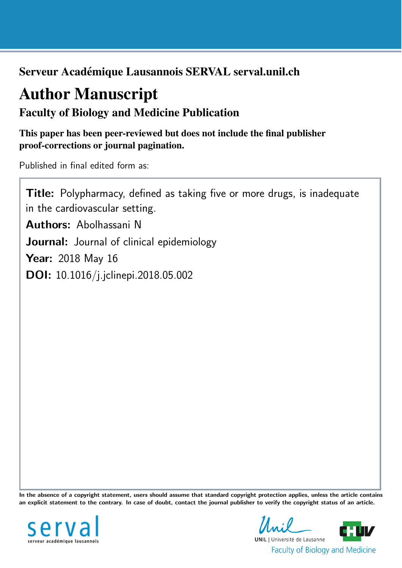Serveur Académique Lausannois SERVAL serval.unil.ch

# Author Manuscript

Faculty of Biology and Medicine Publication

This paper has been peer-reviewed but does not include the final publisher proof-corrections or journal pagination.

Published in final edited form as:

Title: Polypharmacy, defined as taking five or more drugs, is inadequate in the cardiovascular setting. Authors: Abolhassani N Journal: Journal of clinical epidemiology Year: 2018 May 16 DOI: [10.1016/j.jclinepi.2018.05.002](http://dx.doi.org/10.1016/j.jclinepi.2018.05.002)

In the absence of a copyright statement, users should assume that standard copyright protection applies, unless the article contains an explicit statement to the contrary. In case of doubt, contact the journal publisher to verify the copyright status of an article.



 $\mathcal{L} \cdot \mathcal{L}$ **UNIL** | Université de Lausanne **Faculty of Biology and Medicine**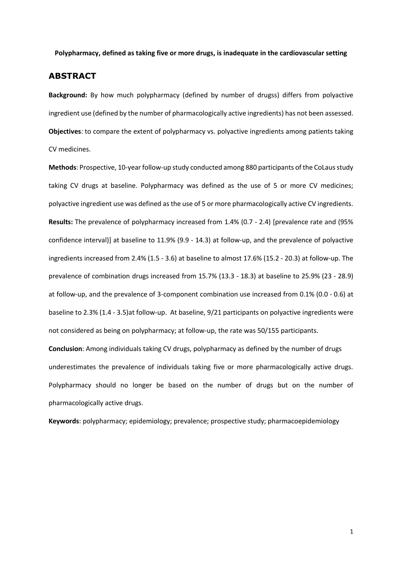**Polypharmacy, defined as taking five or more drugs, is inadequate in the cardiovascular setting**

# **ABSTRACT**

**Background:** By how much polypharmacy (defined by number of drugss) differs from polyactive ingredient use (defined by the number of pharmacologically active ingredients) has not been assessed. **Objectives**: to compare the extent of polypharmacy vs. polyactive ingredients among patients taking CV medicines.

**Methods**: Prospective, 10-year follow-up study conducted among 880 participants of the CoLaus study taking CV drugs at baseline. Polypharmacy was defined as the use of 5 or more CV medicines; polyactive ingredient use was defined as the use of 5 or more pharmacologically active CV ingredients. **Results:** The prevalence of polypharmacy increased from 1.4% (0.7 - 2.4) [prevalence rate and (95% confidence interval)] at baseline to 11.9% (9.9 - 14.3) at follow-up, and the prevalence of polyactive ingredients increased from 2.4% (1.5 - 3.6) at baseline to almost 17.6% (15.2 - 20.3) at follow-up. The prevalence of combination drugs increased from 15.7% (13.3 - 18.3) at baseline to 25.9% (23 - 28.9) at follow-up, and the prevalence of 3-component combination use increased from 0.1% (0.0 - 0.6) at baseline to 2.3% (1.4 - 3.5)at follow-up. At baseline, 9/21 participants on polyactive ingredients were not considered as being on polypharmacy; at follow-up, the rate was 50/155 participants.

**Conclusion**: Among individuals taking CV drugs, polypharmacy as defined by the number of drugs underestimates the prevalence of individuals taking five or more pharmacologically active drugs. Polypharmacy should no longer be based on the number of drugs but on the number of pharmacologically active drugs.

**Keywords**: polypharmacy; epidemiology; prevalence; prospective study; pharmacoepidemiology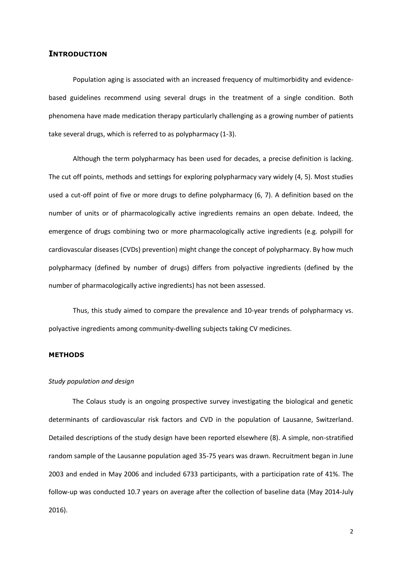# **INTRODUCTION**

Population aging is associated with an increased frequency of multimorbidity and evidencebased guidelines recommend using several drugs in the treatment of a single condition. Both phenomena have made medication therapy particularly challenging as a growing number of patients take several drugs, which is referred to as polypharmacy (1-3).

Although the term polypharmacy has been used for decades, a precise definition is lacking. The cut off points, methods and settings for exploring polypharmacy vary widely (4, 5). Most studies used a cut-off point of five or more drugs to define polypharmacy (6, 7). A definition based on the number of units or of pharmacologically active ingredients remains an open debate. Indeed, the emergence of drugs combining two or more pharmacologically active ingredients (e.g. polypill for cardiovascular diseases (CVDs) prevention) might change the concept of polypharmacy. By how much polypharmacy (defined by number of drugs) differs from polyactive ingredients (defined by the number of pharmacologically active ingredients) has not been assessed.

Thus, this study aimed to compare the prevalence and 10-year trends of polypharmacy vs. polyactive ingredients among community-dwelling subjects taking CV medicines.

#### **METHODS**

#### *Study population and design*

The Colaus study is an ongoing prospective survey investigating the biological and genetic determinants of cardiovascular risk factors and CVD in the population of Lausanne, Switzerland. Detailed descriptions of the study design have been reported elsewhere (8). A simple, non-stratified random sample of the Lausanne population aged 35-75 years was drawn. Recruitment began in June 2003 and ended in May 2006 and included 6733 participants, with a participation rate of 41%. The follow-up was conducted 10.7 years on average after the collection of baseline data (May 2014-July 2016).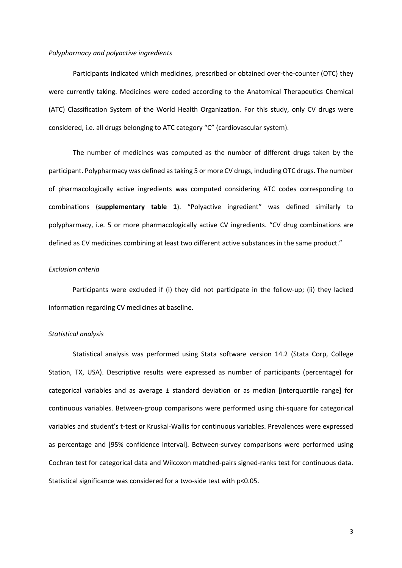#### *Polypharmacy and polyactive ingredients*

Participants indicated which medicines, prescribed or obtained over-the-counter (OTC) they were currently taking. Medicines were coded according to the Anatomical Therapeutics Chemical (ATC) Classification System of the World Health Organization. For this study, only CV drugs were considered, i.e. all drugs belonging to ATC category "C" (cardiovascular system).

The number of medicines was computed as the number of different drugs taken by the participant. Polypharmacy was defined as taking 5 or more CV drugs, including OTC drugs. The number of pharmacologically active ingredients was computed considering ATC codes corresponding to combinations (**supplementary table 1**). "Polyactive ingredient" was defined similarly to polypharmacy, i.e. 5 or more pharmacologically active CV ingredients. "CV drug combinations are defined as CV medicines combining at least two different active substances in the same product."

### *Exclusion criteria*

Participants were excluded if (i) they did not participate in the follow-up; (ii) they lacked information regarding CV medicines at baseline.

### *Statistical analysis*

Statistical analysis was performed using Stata software version 14.2 (Stata Corp, College Station, TX, USA). Descriptive results were expressed as number of participants (percentage) for categorical variables and as average  $\pm$  standard deviation or as median [interquartile range] for continuous variables. Between-group comparisons were performed using chi-square for categorical variables and student's t-test or Kruskal-Wallis for continuous variables. Prevalences were expressed as percentage and [95% confidence interval]. Between-survey comparisons were performed using Cochran test for categorical data and Wilcoxon matched-pairs signed-ranks test for continuous data. Statistical significance was considered for a two-side test with p<0.05.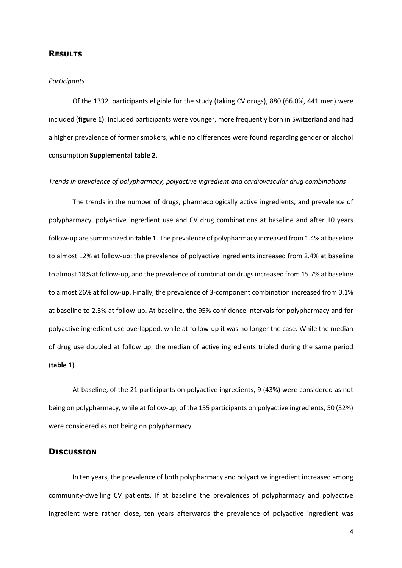# **RESULTS**

#### *Participants*

Of the 1332 participants eligible for the study (taking CV drugs), 880 (66.0%, 441 men) were included (**figure 1)**. Included participants were younger, more frequently born in Switzerland and had a higher prevalence of former smokers, while no differences were found regarding gender or alcohol consumption **Supplemental table 2**.

#### *Trends in prevalence of polypharmacy, polyactive ingredient and cardiovascular drug combinations*

The trends in the number of drugs, pharmacologically active ingredients, and prevalence of polypharmacy, polyactive ingredient use and CV drug combinations at baseline and after 10 years follow-up are summarized in **table 1**. The prevalence of polypharmacy increased from 1.4% at baseline to almost 12% at follow-up; the prevalence of polyactive ingredients increased from 2.4% at baseline to almost 18% at follow-up, and the prevalence of combination drugs increased from 15.7% at baseline to almost 26% at follow-up. Finally, the prevalence of 3-component combination increased from 0.1% at baseline to 2.3% at follow-up. At baseline, the 95% confidence intervals for polypharmacy and for polyactive ingredient use overlapped, while at follow-up it was no longer the case. While the median of drug use doubled at follow up, the median of active ingredients tripled during the same period (**table 1**).

At baseline, of the 21 participants on polyactive ingredients, 9 (43%) were considered as not being on polypharmacy, while at follow-up, of the 155 participants on polyactive ingredients, 50 (32%) were considered as not being on polypharmacy.

## **DISCUSSION**

In ten years, the prevalence of both polypharmacy and polyactive ingredient increased among community-dwelling CV patients. If at baseline the prevalences of polypharmacy and polyactive ingredient were rather close, ten years afterwards the prevalence of polyactive ingredient was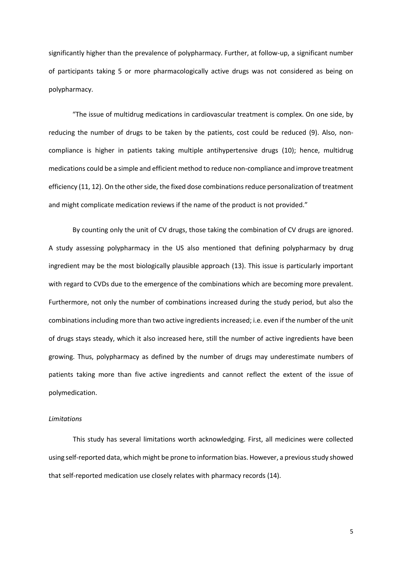significantly higher than the prevalence of polypharmacy. Further, at follow-up, a significant number of participants taking 5 or more pharmacologically active drugs was not considered as being on polypharmacy.

"The issue of multidrug medications in cardiovascular treatment is complex. On one side, by reducing the number of drugs to be taken by the patients, cost could be reduced (9). Also, noncompliance is higher in patients taking multiple antihypertensive drugs (10); hence, multidrug medications could be a simple and efficient method to reduce non-compliance and improve treatment efficiency (11, 12). On the other side, the fixed dose combinations reduce personalization of treatment and might complicate medication reviews if the name of the product is not provided."

By counting only the unit of CV drugs, those taking the combination of CV drugs are ignored. A study assessing polypharmacy in the US also mentioned that defining polypharmacy by drug ingredient may be the most biologically plausible approach (13). This issue is particularly important with regard to CVDs due to the emergence of the combinations which are becoming more prevalent. Furthermore, not only the number of combinations increased during the study period, but also the combinations including more than two active ingredients increased; i.e. even if the number of the unit of drugs stays steady, which it also increased here, still the number of active ingredients have been growing. Thus, polypharmacy as defined by the number of drugs may underestimate numbers of patients taking more than five active ingredients and cannot reflect the extent of the issue of polymedication.

## *Limitations*

This study has several limitations worth acknowledging. First, all medicines were collected using self-reported data, which might be prone to information bias. However, a previousstudy showed that self-reported medication use closely relates with pharmacy records (14).

5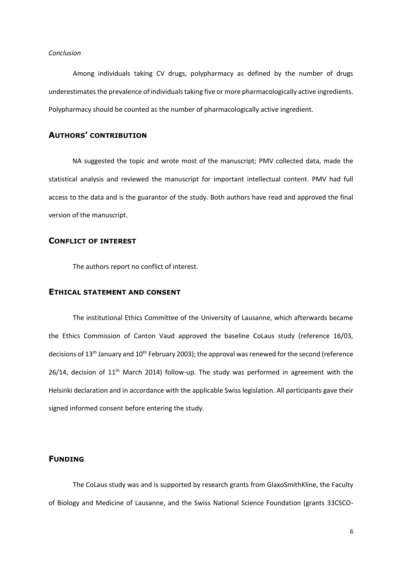#### *Conclusion*

Among individuals taking CV drugs, polypharmacy as defined by the number of drugs underestimates the prevalence of individuals taking five or more pharmacologically active ingredients. Polypharmacy should be counted as the number of pharmacologically active ingredient.

# **AUTHORS' CONTRIBUTION**

NA suggested the topic and wrote most of the manuscript; PMV collected data, made the statistical analysis and reviewed the manuscript for important intellectual content. PMV had full access to the data and is the guarantor of the study. Both authors have read and approved the final version of the manuscript.

# **CONFLICT OF INTEREST**

The authors report no conflict of interest.

# **ETHICAL STATEMENT AND CONSENT**

The institutional Ethics Committee of the University of Lausanne, which afterwards became the Ethics Commission of Canton Vaud approved the baseline CoLaus study (reference 16/03, decisions of 13<sup>th</sup> January and 10<sup>th</sup> February 2003); the approval was renewed for the second (reference 26/14, decision of 11<sup>th</sup> March 2014) follow-up. The study was performed in agreement with the Helsinki declaration and in accordance with the applicable Swiss legislation. All participants gave their signed informed consent before entering the study.

# **FUNDING**

The CoLaus study was and is supported by research grants from GlaxoSmithKline, the Faculty of Biology and Medicine of Lausanne, and the Swiss National Science Foundation (grants 33CSCO-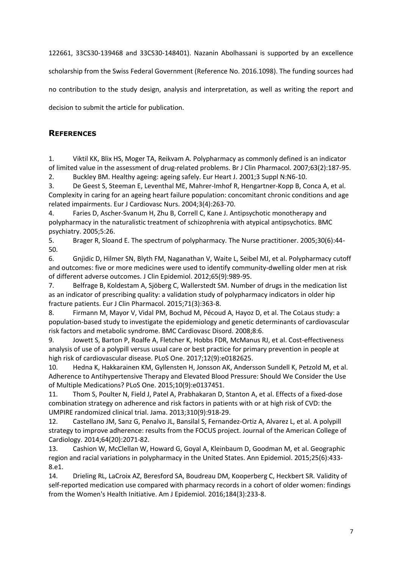122661, 33CS30-139468 and 33CS30-148401). Nazanin Abolhassani is supported by an excellence

scholarship from the Swiss Federal Government (Reference No. 2016.1098). The funding sources had

no contribution to the study design, analysis and interpretation, as well as writing the report and

decision to submit the article for publication.

# **REFERENCES**

1. Viktil KK, Blix HS, Moger TA, Reikvam A. Polypharmacy as commonly defined is an indicator of limited value in the assessment of drug-related problems. Br J Clin Pharmacol. 2007;63(2):187-95.

2. Buckley BM. Healthy ageing: ageing safely. Eur Heart J. 2001;3 Suppl N:N6-10.

3. De Geest S, Steeman E, Leventhal ME, Mahrer-Imhof R, Hengartner-Kopp B, Conca A, et al. Complexity in caring for an ageing heart failure population: concomitant chronic conditions and age related impairments. Eur J Cardiovasc Nurs. 2004;3(4):263-70.

4. Faries D, Ascher-Svanum H, Zhu B, Correll C, Kane J. Antipsychotic monotherapy and polypharmacy in the naturalistic treatment of schizophrenia with atypical antipsychotics. BMC psychiatry. 2005;5:26.

5. Brager R, Sloand E. The spectrum of polypharmacy. The Nurse practitioner. 2005;30(6):44- 50.

6. Gnjidic D, Hilmer SN, Blyth FM, Naganathan V, Waite L, Seibel MJ, et al. Polypharmacy cutoff and outcomes: five or more medicines were used to identify community-dwelling older men at risk of different adverse outcomes. J Clin Epidemiol. 2012;65(9):989-95.

7. Belfrage B, Koldestam A, Sjöberg C, Wallerstedt SM. Number of drugs in the medication list as an indicator of prescribing quality: a validation study of polypharmacy indicators in older hip fracture patients. Eur J Clin Pharmacol. 2015;71(3):363-8.

8. Firmann M, Mayor V, Vidal PM, Bochud M, Pécoud A, Hayoz D, et al. The CoLaus study: a population-based study to investigate the epidemiology and genetic determinants of cardiovascular risk factors and metabolic syndrome. BMC Cardiovasc Disord. 2008;8:6.

9. Jowett S, Barton P, Roalfe A, Fletcher K, Hobbs FDR, McManus RJ, et al. Cost-effectiveness analysis of use of a polypill versus usual care or best practice for primary prevention in people at high risk of cardiovascular disease. PLoS One. 2017;12(9):e0182625.

10. Hedna K, Hakkarainen KM, Gyllensten H, Jonsson AK, Andersson Sundell K, Petzold M, et al. Adherence to Antihypertensive Therapy and Elevated Blood Pressure: Should We Consider the Use of Multiple Medications? PLoS One. 2015;10(9):e0137451.

11. Thom S, Poulter N, Field J, Patel A, Prabhakaran D, Stanton A, et al. Effects of a fixed-dose combination strategy on adherence and risk factors in patients with or at high risk of CVD: the UMPIRE randomized clinical trial. Jama. 2013;310(9):918-29.

12. Castellano JM, Sanz G, Penalvo JL, Bansilal S, Fernandez-Ortiz A, Alvarez L, et al. A polypill strategy to improve adherence: results from the FOCUS project. Journal of the American College of Cardiology. 2014;64(20):2071-82.

13. Cashion W, McClellan W, Howard G, Goyal A, Kleinbaum D, Goodman M, et al. Geographic region and racial variations in polypharmacy in the United States. Ann Epidemiol. 2015;25(6):433- 8.e1.

14. Drieling RL, LaCroix AZ, Beresford SA, Boudreau DM, Kooperberg C, Heckbert SR. Validity of self-reported medication use compared with pharmacy records in a cohort of older women: findings from the Women's Health Initiative. Am J Epidemiol. 2016;184(3):233-8.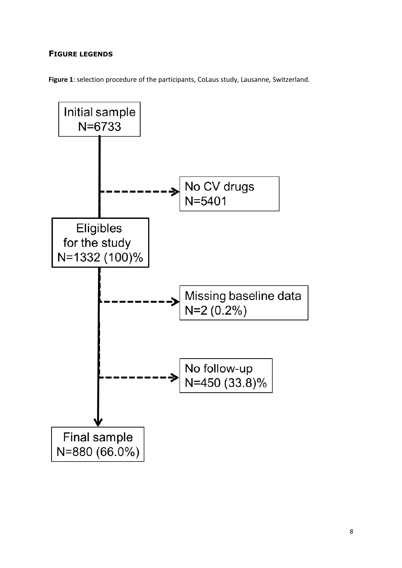# **FIGURE LEGENDS**

**Figure 1**: selection procedure of the participants, CoLaus study, Lausanne, Switzerland.